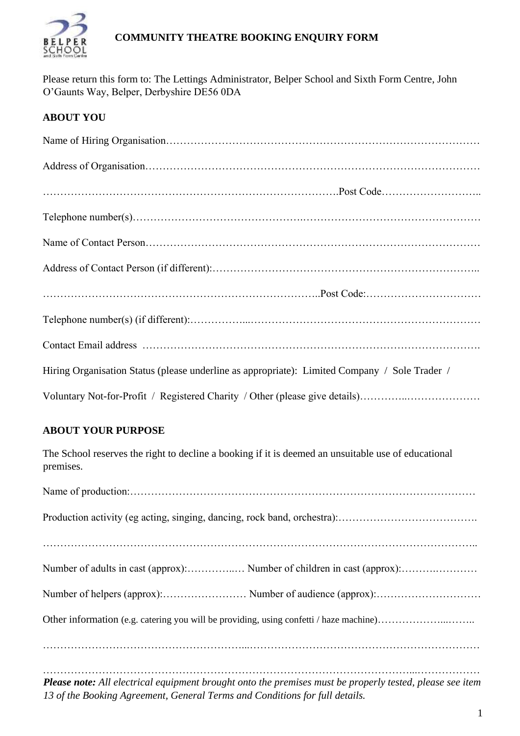

## **COMMUNITY THEATRE BOOKING ENQUIRY FORM**

Please return this form to: The Lettings Administrator, Belper School and Sixth Form Centre, John O'Gaunts Way, Belper, Derbyshire DE56 0DA

# **ABOUT YOU**

| Hiring Organisation Status (please underline as appropriate): Limited Company / Sole Trader / |
|-----------------------------------------------------------------------------------------------|
| Voluntary Not-for-Profit / Registered Charity / Other (please give details)                   |

## **ABOUT YOUR PURPOSE**

The School reserves the right to decline a booking if it is deemed an unsuitable use of educational premises.

*Please note: All electrical equipment brought onto the premises must be properly tested, please see item 13 of the Booking Agreement, General Terms and Conditions for full details.*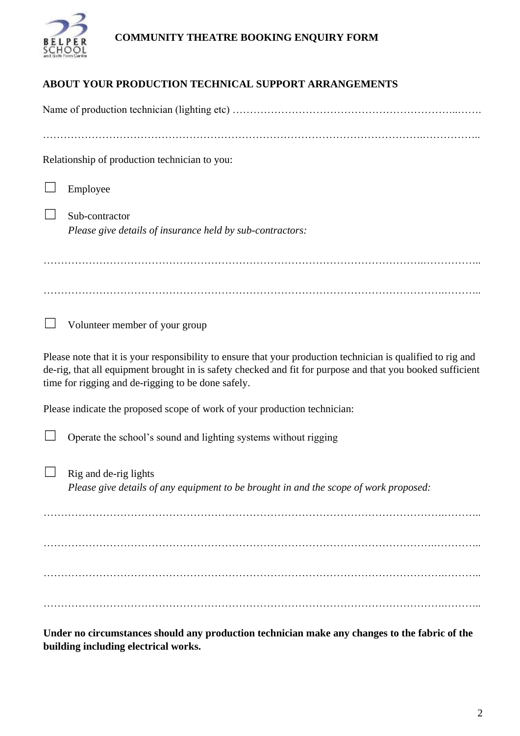

# **COMMUNITY THEATRE BOOKING ENQUIRY FORM**

# **ABOUT YOUR PRODUCTION TECHNICAL SUPPORT ARRANGEMENTS**

| Relationship of production technician to you:                                                                                                                                                                                                                                    |
|----------------------------------------------------------------------------------------------------------------------------------------------------------------------------------------------------------------------------------------------------------------------------------|
| Employee                                                                                                                                                                                                                                                                         |
| Sub-contractor<br>Please give details of insurance held by sub-contractors:                                                                                                                                                                                                      |
|                                                                                                                                                                                                                                                                                  |
| Volunteer member of your group                                                                                                                                                                                                                                                   |
| Please note that it is your responsibility to ensure that your production technician is qualified to rig and<br>de-rig, that all equipment brought in is safety checked and fit for purpose and that you booked sufficient<br>time for rigging and de-rigging to be done safely. |
| Please indicate the proposed scope of work of your production technician:                                                                                                                                                                                                        |
| Operate the school's sound and lighting systems without rigging                                                                                                                                                                                                                  |
| Rig and de-rig lights<br>Please give details of any equipment to be brought in and the scope of work proposed:                                                                                                                                                                   |
|                                                                                                                                                                                                                                                                                  |
|                                                                                                                                                                                                                                                                                  |
|                                                                                                                                                                                                                                                                                  |

**Under no circumstances should any production technician make any changes to the fabric of the building including electrical works.**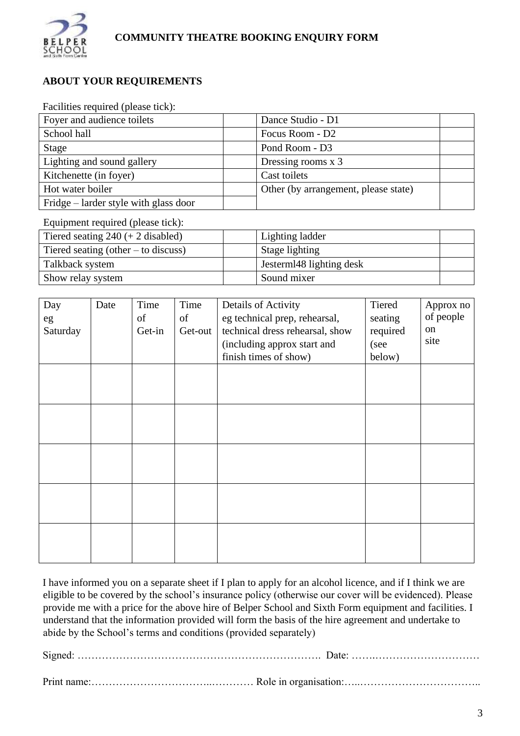

#### **ABOUT YOUR REQUIREMENTS**

#### Facilities required (please tick):

| Foyer and audience toilets            | Dance Studio - D1                    |  |
|---------------------------------------|--------------------------------------|--|
| School hall                           | Focus Room - D2                      |  |
| Stage                                 | Pond Room - D3                       |  |
| Lighting and sound gallery            | Dressing rooms x 3                   |  |
| Kitchenette (in foyer)                | Cast toilets                         |  |
| Hot water boiler                      | Other (by arrangement, please state) |  |
| Fridge – larder style with glass door |                                      |  |

Equipment required (please tick):

| Tiered seating $240 (+ 2 \text{ disabled})$ | Lighting ladder          |  |
|---------------------------------------------|--------------------------|--|
| Tiered seating (other $-$ to discuss)       | Stage lighting           |  |
| Talkback system                             | Jesterml48 lighting desk |  |
| Show relay system                           | Sound mixer              |  |

| Day<br>eg<br>Saturday | Date | Time<br>of<br>Get-in | Time<br>of<br>Get-out | Details of Activity<br>eg technical prep, rehearsal,<br>technical dress rehearsal, show<br>(including approx start and<br>finish times of show) | Tiered<br>seating<br>required<br>(see<br>below) | Approx no<br>of people<br>on<br>site |
|-----------------------|------|----------------------|-----------------------|-------------------------------------------------------------------------------------------------------------------------------------------------|-------------------------------------------------|--------------------------------------|
|                       |      |                      |                       |                                                                                                                                                 |                                                 |                                      |
|                       |      |                      |                       |                                                                                                                                                 |                                                 |                                      |
|                       |      |                      |                       |                                                                                                                                                 |                                                 |                                      |
|                       |      |                      |                       |                                                                                                                                                 |                                                 |                                      |
|                       |      |                      |                       |                                                                                                                                                 |                                                 |                                      |

I have informed you on a separate sheet if I plan to apply for an alcohol licence, and if I think we are eligible to be covered by the school's insurance policy (otherwise our cover will be evidenced). Please provide me with a price for the above hire of Belper School and Sixth Form equipment and facilities. I understand that the information provided will form the basis of the hire agreement and undertake to abide by the School's terms and conditions (provided separately)

Signed: ……………………………………………………………. Date: …….…………………………

Print name:……………………………..………… Role in organisation:…..……………………………..